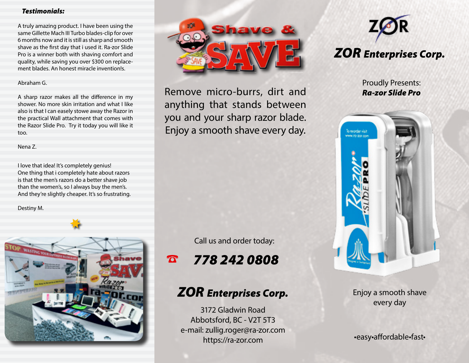## *Testimonials:*

A truly amazing product. I have been using the same Gillette Mach III Turbo blades-clip for over 6 months now and it is still as sharp and smooth shave as the first day that i used it. Ra-zor Slide Pro is a winner both with shaving comfort and quality, while saving you over \$300 on replacement blades. An honest miracle invention!s.

## Abraham G.

A sharp razor makes all the difference in my shower. No more skin irritation and what I like also is that I can easely stowe away the Razor in the practical Wall attachment that comes with the Razor Slide Pro. Try it today you will like it too.

Nena Z.

I love that idea! It's completely genius! One thing that i completely hate about razors is that the men's razors do a better shave job than the women's, so I always buy the men's. And they're slightly cheaper. It's so frustrating.

Destiny M.





Remove micro-burrs, dirt and anything that stands between you and your sharp razor blade. Enjoy a smooth shave every day.

Call us and order today:

☎ *778 242 0808*

## *ZOR Enterprises Corp.*

3172 Gladwin Road Abbotsford, BC - V2T 5T3 e-mail: zullig.roger@ra-zor.com https://ra-zor.com



Proudly Presents: *Ra-zor Slide Pro*



Enjoy a smooth shave every day

•easy•affordable•fast•